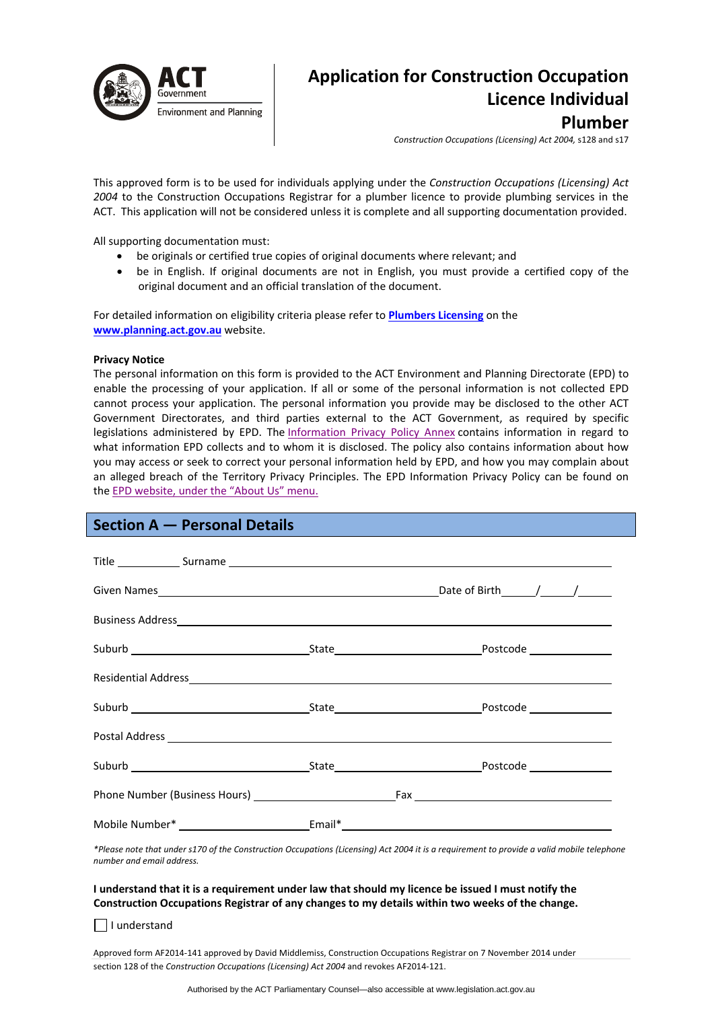

# **Application for Construction Occupation Licence Individual Plumber**

*Construction Occupations (Licensing) Act 2004,* s128 and s17

This approved form is to be used for individuals applying under the *Construction Occupations (Licensing) Act 2004* to the Construction Occupations Registrar for a plumber licence to provide plumbing services in the ACT. This application will not be considered unless it is complete and all supporting documentation provided.

All supporting documentation must:

- be originals or certified true copies of original documents where relevant; and
- be in English. If original documents are not in English, you must provide a certified copy of the original document and an official translation of the document.

For detailed information on eligibility criteria please refer to **[Plumbers](http://www.actpla.act.gov.au/topics/hiring_licensing/licence_registration/plumbers_drainers) Licensing** on the **[www.planning.act.gov.au](http://www.planning.act.gov.au/)** website.

### **Privacy Notice**

The personal information on this form is provided to the ACT Environment and Planning Directorate (EPD) to enable the processing of your application. If all or some of the personal information is not collected EPD cannot process your application. The personal information you provide may be disclosed to the other ACT Government Directorates, and third parties external to the ACT Government, as required by specific legislations administered by EPD. The [Information](http://www.environment.act.gov.au/__data/assets/pdf_file/0006/633741/Information-Privacy-Policy-Annex.pdf) Privacy Policy Annex contains information in regard to what information EPD collects and to whom it is disclosed. The policy also contains information about how you may access or seek to correct your personal information held by EPD, and how you may complain about an alleged breach of the Territory Privacy Principles. The EPD Information Privacy Policy can be found on the EPD [website,](http://www.environment.act.gov.au/about/privacy) under the "About Us" menu.

# **Section A — Personal Details**

|  | Mobile Number* ___________________________Email*_________________________________ |
|--|-----------------------------------------------------------------------------------|

\*Please note that under s170 of the Construction Occupations (Licensing) Act 2004 it is a requirement to provide a valid mobile telephone *number and email address.* 

### I understand that it is a requirement under law that should my licence be issued I must notify the **Construction Occupations Registrar of any changes to my details within two weeks of the change.**

 $\Box$  I understand

Approved form AF2014‐141 approved by David Middlemiss, Construction Occupations Registrar on 7 November 2014 under section 128 of the *Construction Occupations (Licensing) Act 2004* and revokes AF2014‐121.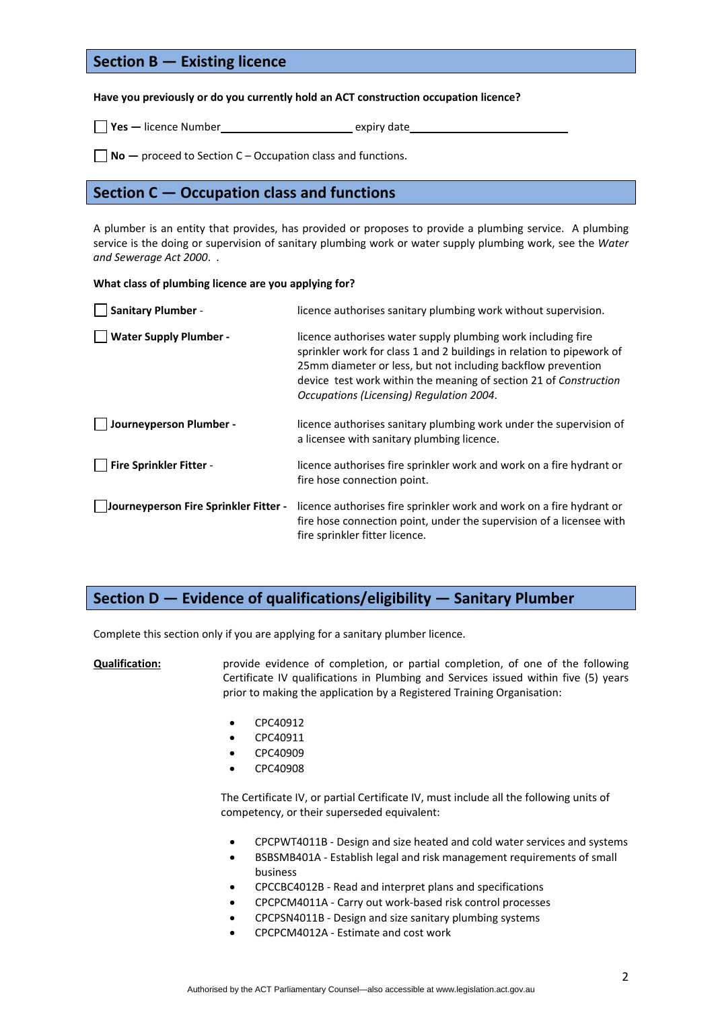## **Section B — Existing licence**

### **Have you previously or do you currently hold an ACT construction occupation licence?**

| $\mathsf{Yes}$ - licence Number | expiry date |
|---------------------------------|-------------|
|                                 |             |

**No —** proceed to Section C – Occupation class and functions.

### **Section C — Occupation class and functions**

A plumber is an entity that provides, has provided or proposes to provide a plumbing service. A plumbing service is the doing or supervision of sanitary plumbing work or water supply plumbing work, see the *Water and Sewerage Act 2000*. .

### **What class of plumbing licence are you applying for?**

| <b>Sanitary Plumber -</b>             | licence authorises sanitary plumbing work without supervision.                                                                                                                                                                                                                                                         |
|---------------------------------------|------------------------------------------------------------------------------------------------------------------------------------------------------------------------------------------------------------------------------------------------------------------------------------------------------------------------|
| <b>Water Supply Plumber -</b>         | licence authorises water supply plumbing work including fire<br>sprinkler work for class 1 and 2 buildings in relation to pipework of<br>25mm diameter or less, but not including backflow prevention<br>device test work within the meaning of section 21 of Construction<br>Occupations (Licensing) Regulation 2004. |
| Journeyperson Plumber -               | licence authorises sanitary plumbing work under the supervision of<br>a licensee with sanitary plumbing licence.                                                                                                                                                                                                       |
| Fire Sprinkler Fitter -               | licence authorises fire sprinkler work and work on a fire hydrant or<br>fire hose connection point.                                                                                                                                                                                                                    |
| Journeyperson Fire Sprinkler Fitter - | licence authorises fire sprinkler work and work on a fire hydrant or<br>fire hose connection point, under the supervision of a licensee with<br>fire sprinkler fitter licence.                                                                                                                                         |

## **Section D — Evidence of qualifications/eligibility — Sanitary Plumber**

Complete this section only if you are applying for a sanitary plumber licence.

**Qualification:** provide evidence of completion, or partial completion, of one of the following Certificate IV qualifications in Plumbing and Services issued within five (5) years prior to making the application by a Registered Training Organisation:

- CPC40912
- CPC40911
- CPC40909
- CPC40908

The Certificate IV, or partial Certificate IV, must include all the following units of competency, or their superseded equivalent:

- CPCPWT4011B Design and size heated and cold water services and systems
- BSBSMB401A ‐ Establish legal and risk management requirements of small business
- CPCCBC4012B ‐ Read and interpret plans and specifications
- CPCPCM4011A ‐ Carry out work‐based risk control processes
- CPCPSN4011B ‐ Design and size sanitary plumbing systems
- CPCPCM4012A ‐ Estimate and cost work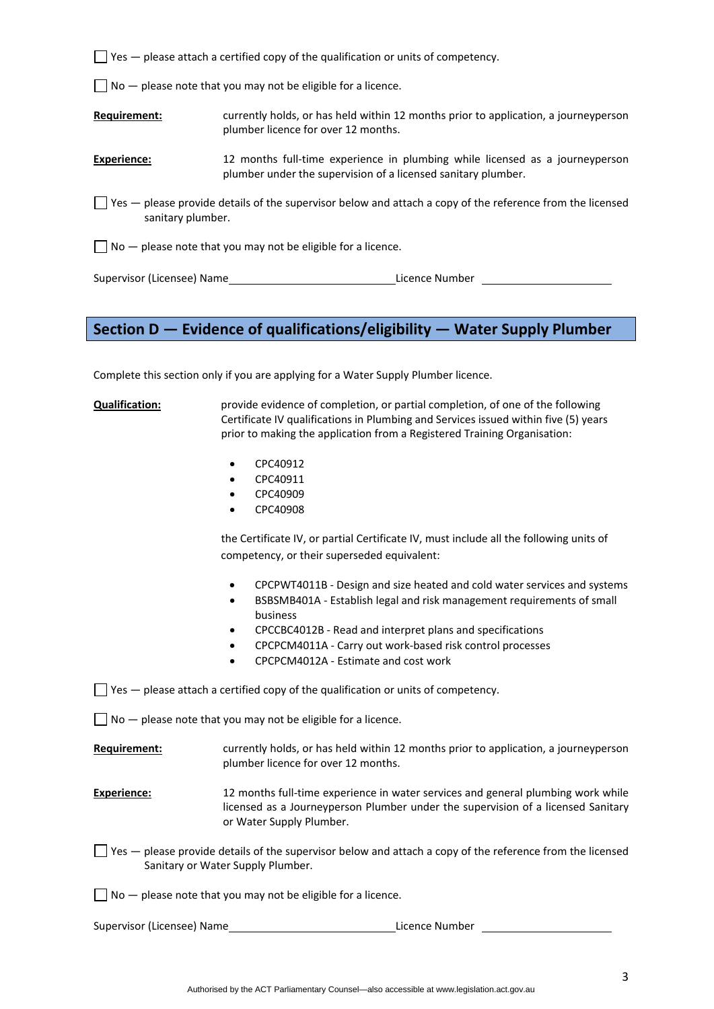$\Box$  Yes  $-$  please attach a certified copy of the qualification or units of competency.

 $\Box$  No  $-$  please note that you may not be eligible for a licence.

**Requirement:** currently holds, or has held within 12 months prior to application, a journeyperson plumber licence for over 12 months.

**Experience:** 12 months full-time experience in plumbing while licensed as a journeyperson plumber under the supervision of a licensed sanitary plumber.

 $\Box$  Yes — please provide details of the supervisor below and attach a copy of the reference from the licensed sanitary plumber.

 $\Box$  No  $-$  please note that you may not be eligible for a licence.

Supervisor (Licensee) Name **Base Communist Communist Communist Communist Communist Communist Communist Communist Communist Communist Communist Communist Communist Communist Communist Communist Communist Communist Communist** 

# **Section D — Evidence of qualifications/eligibility — Water Supply Plumber**

Complete this section only if you are applying for a Water Supply Plumber licence.

**Qualification:** provide evidence of completion, or partial completion, of one of the following Certificate IV qualifications in Plumbing and Services issued within five (5) years prior to making the application from a Registered Training Organisation:

- CPC40912
- CPC40911
- CPC40909
- CPC40908

the Certificate IV, or partial Certificate IV, must include all the following units of competency, or their superseded equivalent:

- CPCPWT4011B ‐ Design and size heated and cold water services and systems
- BSBSMB401A ‐ Establish legal and risk management requirements of small business
- CPCCBC4012B ‐ Read and interpret plans and specifications
- CPCPCM4011A ‐ Carry out work‐based risk control processes
- CPCPCM4012A ‐ Estimate and cost work

 $\Box$  Yes  $-$  please attach a certified copy of the qualification or units of competency.

 $\Box$  No  $-$  please note that you may not be eligible for a licence.

**Requirement:** currently holds, or has held within 12 months prior to application, a journeyperson plumber licence for over 12 months.

- **Experience:** 12 months full-time experience in water services and general plumbing work while licensed as a Journeyperson Plumber under the supervision of a licensed Sanitary or Water Supply Plumber.
- $\Box$  Yes please provide details of the supervisor below and attach a copy of the reference from the licensed Sanitary or Water Supply Plumber.
- $\Box$  No  $-$  please note that you may not be eligible for a licence.

Supervisor (Licensee) Name Licence Number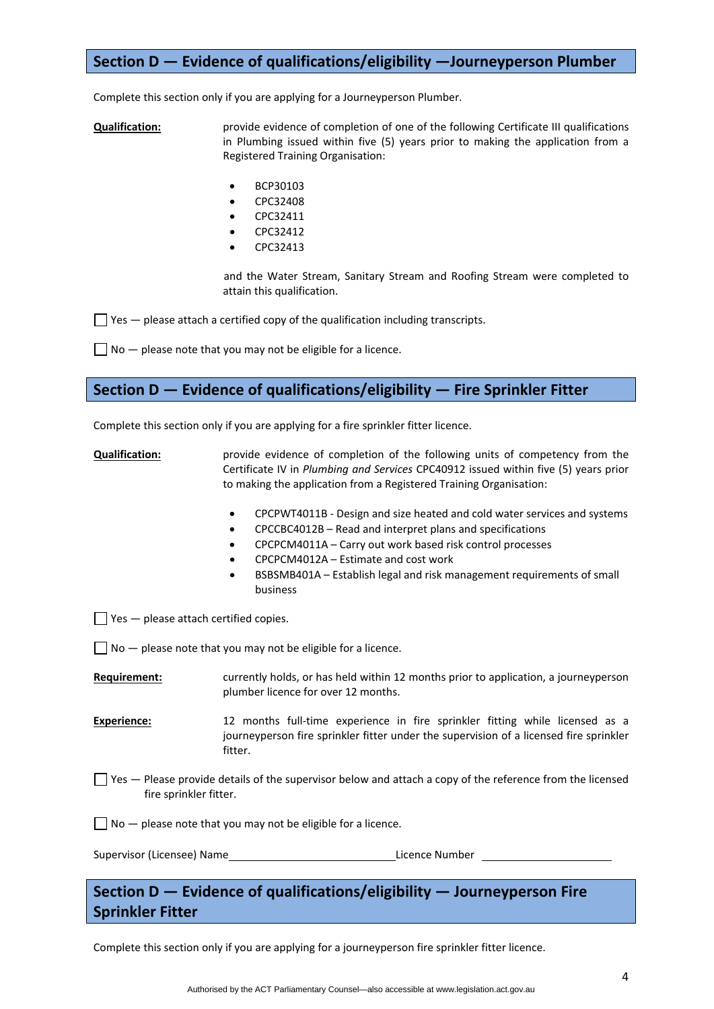# **Section D — Evidence of qualifications/eligibility —Journeyperson Plumber**

Complete this section only if you are applying for a Journeyperson Plumber.

**Qualification:** provide evidence of completion of one of the following Certificate III qualifications in Plumbing issued within five (5) years prior to making the application from a Registered Training Organisation:

- BCP30103
- CPC32408
- CPC32411
- CPC32412
- CPC32413

and the Water Stream, Sanitary Stream and Roofing Stream were completed to attain this qualification.

 $\Box$  Yes  $-$  please attach a certified copy of the qualification including transcripts.

 $\Box$  No  $-$  please note that you may not be eligible for a licence.

# **Section D — Evidence of qualifications/eligibility — Fire Sprinkler Fitter**

Complete this section only if you are applying for a fire sprinkler fitter licence.

**Qualification:** provide evidence of completion of the following units of competency from the Certificate IV in *Plumbing and Services* CPC40912 issued within five (5) years prior to making the application from a Registered Training Organisation:

- CPCPWT4011B ‐ Design and size heated and cold water services and systems
- CPCCBC4012B Read and interpret plans and specifications
- CPCPCM4011A Carry out work based risk control processes
- CPCPCM4012A Estimate and cost work
- BSBSMB401A Establish legal and risk management requirements of small business

 $\Box$  Yes  $-$  please attach certified copies.

 $\Box$  No  $-$  please note that you may not be eligible for a licence.

**Requirement:** currently holds, or has held within 12 months prior to application, a journeyperson plumber licence for over 12 months.

Experience: 12 months full-time experience in fire sprinkler fitting while licensed as a journeyperson fire sprinkler fitter under the supervision of a licensed fire sprinkler fitter.

 $\Box$  Yes  $-$  Please provide details of the supervisor below and attach a copy of the reference from the licensed fire sprinkler fitter.

 $\Box$  No  $-$  please note that you may not be eligible for a licence.

Supervisor (Licensee) Name **by a strategie of the Contract August** Licence Number

# **Section D — Evidence of qualifications/eligibility — Journeyperson Fire Sprinkler Fitter**

Complete this section only if you are applying for a journeyperson fire sprinkler fitter licence.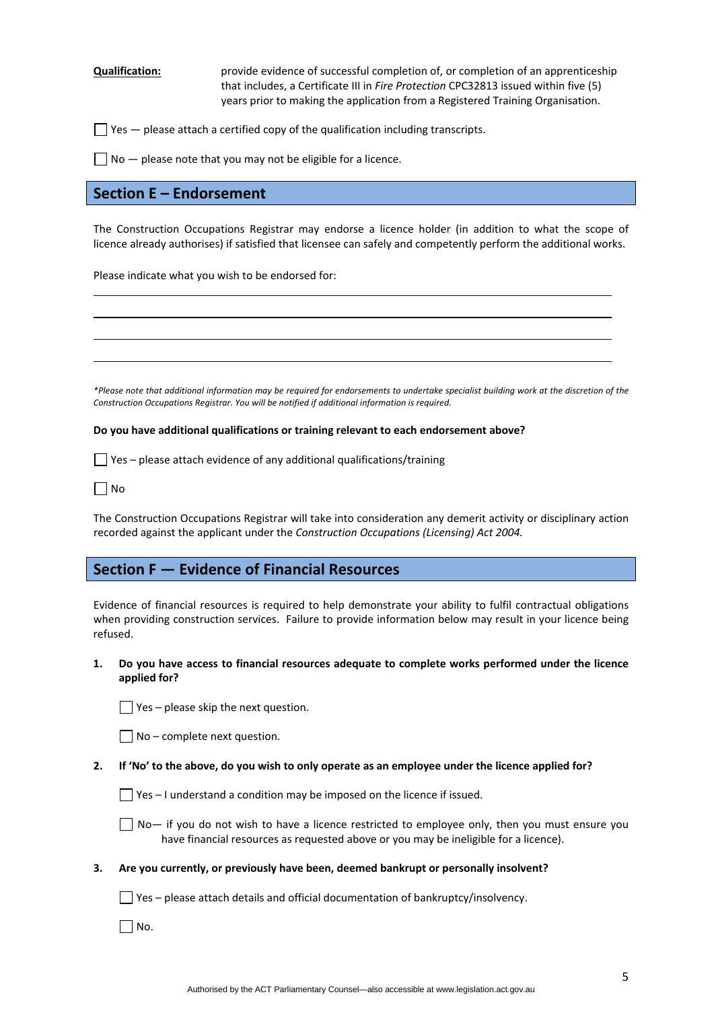**Qualification:** provide evidence of successful completion of, or completion of an apprenticeship that includes, a Certificate III in *Fire Protection* CPC32813 issued within five (5) years prior to making the application from a Registered Training Organisation.

 $\Box$  Yes  $-$  please attach a certified copy of the qualification including transcripts.

 $\Box$  No  $-$  please note that you may not be eligible for a licence.

### **Section E – Endorsement**

The Construction Occupations Registrar may endorse a licence holder (in addition to what the scope of licence already authorises) if satisfied that licensee can safely and competently perform the additional works.

<u> 1989 - Johann Stoff, amerikansk politiker (d. 1989)</u> <u> 1989 - Johann Barbara, martxa alemaniar argametra (h. 1989).</u>

<u> 1989 - Johann Stoff, deutscher Stoffen und der Stoffen und der Stoffen und der Stoffen und der Stoffen und der</u>

Please indicate what you wish to be endorsed for:

\*Please note that additional information may be reauired for endorsements to undertake specialist buildina work at the discretion of the *Construction Occupations Registrar. You will be notified if additional information is required.* 

**Do you have additional qualifications or training relevant to each endorsement above?**

 $\Box$  Yes – please attach evidence of any additional qualifications/training

 $\Box$  No

The Construction Occupations Registrar will take into consideration any demerit activity or disciplinary action recorded against the applicant under the *Construction Occupations (Licensing) Act 2004.*

## **Section F — Evidence of Financial Resources**

Evidence of financial resources is required to help demonstrate your ability to fulfil contractual obligations when providing construction services. Failure to provide information below may result in your licence being refused.

**1. Do you have access to financial resources adequate to complete works performed under the licence applied for?** 

 $\Box$  Yes – please skip the next question.

2. If 'No' to the above, do you wish to only operate as an employee under the licence applied for?

 $\Box$  Yes – I understand a condition may be imposed on the licence if issued.

 $\Box$  No— if you do not wish to have a licence restricted to employee only, then you must ensure you have financial resources as requested above or you may be ineligible for a licence).

**3. Are you currently, or previously have been, deemed bankrupt or personally insolvent?** 

 $\Box$  Yes – please attach details and official documentation of bankruptcy/insolvency.

 $\Box$  No.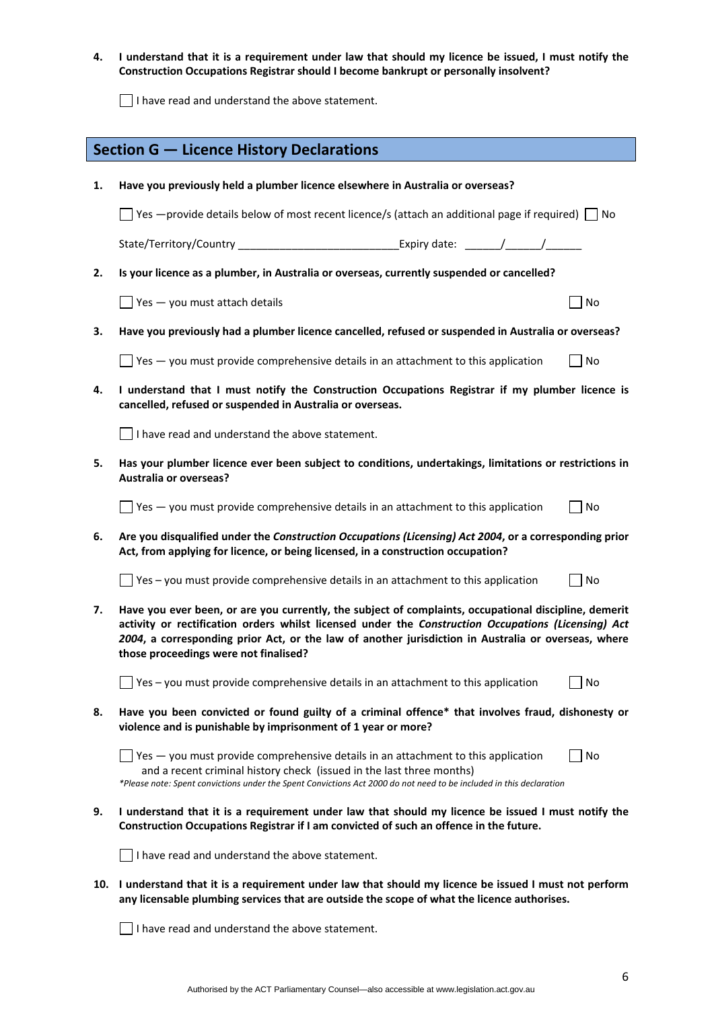4. I understand that it is a requirement under law that should my licence be issued, I must notify the **Construction Occupations Registrar should I become bankrupt or personally insolvent?** 

I have read and understand the above statement.

|    | <b>Section G - Licence History Declarations</b>                                                                                                                                                                                                                                                                                                              |
|----|--------------------------------------------------------------------------------------------------------------------------------------------------------------------------------------------------------------------------------------------------------------------------------------------------------------------------------------------------------------|
| 1. | Have you previously held a plumber licence elsewhere in Australia or overseas?                                                                                                                                                                                                                                                                               |
|    | $\sqrt{2}$ Yes $-$ provide details below of most recent licence/s (attach an additional page if required) $\sqrt{2}$ No                                                                                                                                                                                                                                      |
|    | State/Territory/Country                                                                                                                                                                                                                                                                                                                                      |
| 2. | Is your licence as a plumber, in Australia or overseas, currently suspended or cancelled?                                                                                                                                                                                                                                                                    |
|    | $\sqrt{}$ Yes $-$ you must attach details<br>No                                                                                                                                                                                                                                                                                                              |
| 3. | Have you previously had a plumber licence cancelled, refused or suspended in Australia or overseas?                                                                                                                                                                                                                                                          |
|    | $\Box$ Yes $-$ you must provide comprehensive details in an attachment to this application<br>No                                                                                                                                                                                                                                                             |
| 4. | I understand that I must notify the Construction Occupations Registrar if my plumber licence is<br>cancelled, refused or suspended in Australia or overseas.                                                                                                                                                                                                 |
|    | I have read and understand the above statement.                                                                                                                                                                                                                                                                                                              |
| 5. | Has your plumber licence ever been subject to conditions, undertakings, limitations or restrictions in<br><b>Australia or overseas?</b>                                                                                                                                                                                                                      |
|    | $\sqrt{ }$ Yes $-$ you must provide comprehensive details in an attachment to this application<br>No                                                                                                                                                                                                                                                         |
| 6. | Are you disqualified under the Construction Occupations (Licensing) Act 2004, or a corresponding prior<br>Act, from applying for licence, or being licensed, in a construction occupation?                                                                                                                                                                   |
|    | $\Box$ Yes – you must provide comprehensive details in an attachment to this application<br>No                                                                                                                                                                                                                                                               |
| 7. | Have you ever been, or are you currently, the subject of complaints, occupational discipline, demerit<br>activity or rectification orders whilst licensed under the Construction Occupations (Licensing) Act<br>2004, a corresponding prior Act, or the law of another jurisdiction in Australia or overseas, where<br>those proceedings were not finalised? |
|    | Yes - you must provide comprehensive details in an attachment to this application<br>No                                                                                                                                                                                                                                                                      |
| 8. | Have you been convicted or found guilty of a criminal offence* that involves fraud, dishonesty or<br>violence and is punishable by imprisonment of 1 year or more?                                                                                                                                                                                           |
|    | $\vert$ Yes $-$ you must provide comprehensive details in an attachment to this application<br>No<br>and a recent criminal history check (issued in the last three months)<br>*Please note: Spent convictions under the Spent Convictions Act 2000 do not need to be included in this declaration                                                            |
| 9. | I understand that it is a requirement under law that should my licence be issued I must notify the<br>Construction Occupations Registrar if I am convicted of such an offence in the future.                                                                                                                                                                 |
|    | I have read and understand the above statement.                                                                                                                                                                                                                                                                                                              |
|    | 10. I understand that it is a requirement under law that should my licence be issued I must not perform<br>any licensable plumbing services that are outside the scope of what the licence authorises.                                                                                                                                                       |

I have read and understand the above statement.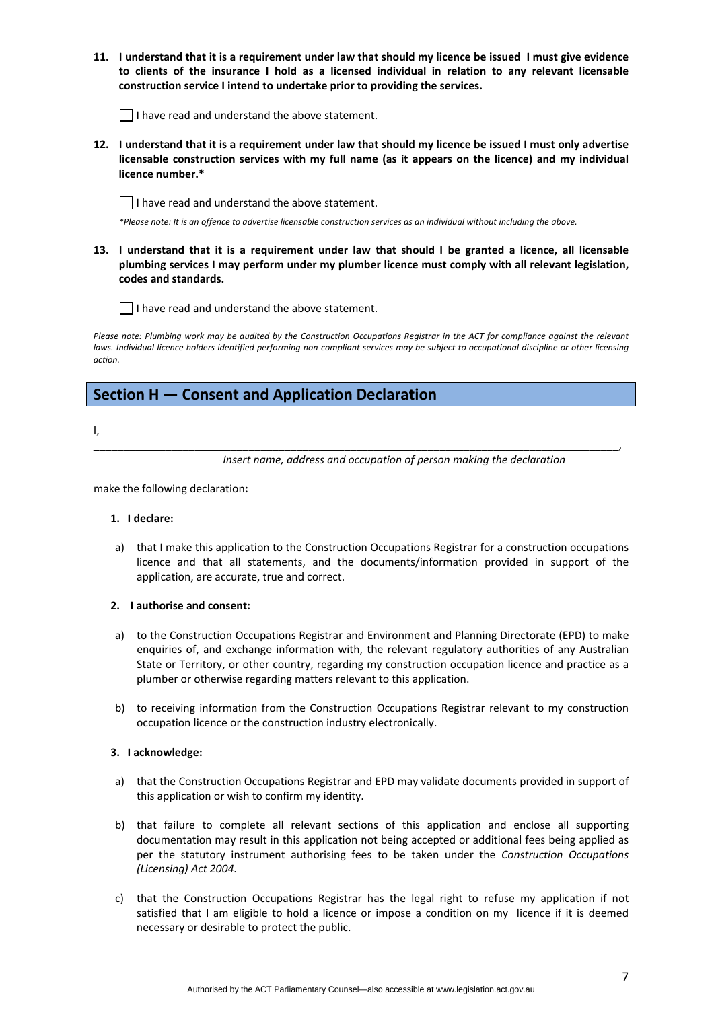11. I understand that it is a requirement under law that should my licence be issued I must give evidence **to clients of the insurance I hold as a licensed individual in relation to any relevant licensable construction service I intend to undertake prior to providing the services.** 

 $\vert \ \vert$  I have read and understand the above statement.

12. I understand that it is a requirement under law that should my licence be issued I must only advertise **licensable construction services with my full name (as it appears on the licence) and my individual licence number.\*** 

 $\Box$  I have read and understand the above statement.

\*Please note: It is an offence to advertise licensable construction services as an individual without including the above.

13. I understand that it is a requirement under law that should I be granted a licence, all licensable **plumbing services I may perform under my plumber licence must comply with all relevant legislation, codes and standards.** 

 $\Box$  I have read and understand the above statement.

Please note: Plumbing work may be audited by the Construction Occupations Registrar in the ACT for compliance against the relevant laws. Individual licence holders identified performing non-compliant services may be subject to occupational discipline or other licensing *action.*

\_\_\_\_\_\_\_\_\_\_\_\_\_\_\_\_\_\_\_\_\_\_\_\_\_\_\_\_\_\_\_\_\_\_\_\_\_\_\_\_\_\_\_\_\_\_\_\_\_\_\_\_\_\_\_\_\_\_\_\_\_\_\_\_\_\_\_\_\_\_\_\_\_\_\_\_\_\_\_\_\_\_\_\_\_\_\_\_,

# **Section H — Consent and Application Declaration**

I,

*Insert name, address and occupation of person making the declaration*

make the following declaration**:**

### **1. I declare:**

a) that I make this application to the Construction Occupations Registrar for a construction occupations licence and that all statements, and the documents/information provided in support of the application, are accurate, true and correct.

### **2. I authorise and consent:**

- a) to the Construction Occupations Registrar and Environment and Planning Directorate (EPD) to make enquiries of, and exchange information with, the relevant regulatory authorities of any Australian State or Territory, or other country, regarding my construction occupation licence and practice as a plumber or otherwise regarding matters relevant to this application.
- b) to receiving information from the Construction Occupations Registrar relevant to my construction occupation licence or the construction industry electronically.

### **3. I acknowledge:**

- a) that the Construction Occupations Registrar and EPD may validate documents provided in support of this application or wish to confirm my identity.
- b) that failure to complete all relevant sections of this application and enclose all supporting documentation may result in this application not being accepted or additional fees being applied as per the statutory instrument authorising fees to be taken under the *Construction Occupations (Licensing) Act 2004.*
- c) that the Construction Occupations Registrar has the legal right to refuse my application if not satisfied that I am eligible to hold a licence or impose a condition on my licence if it is deemed necessary or desirable to protect the public.